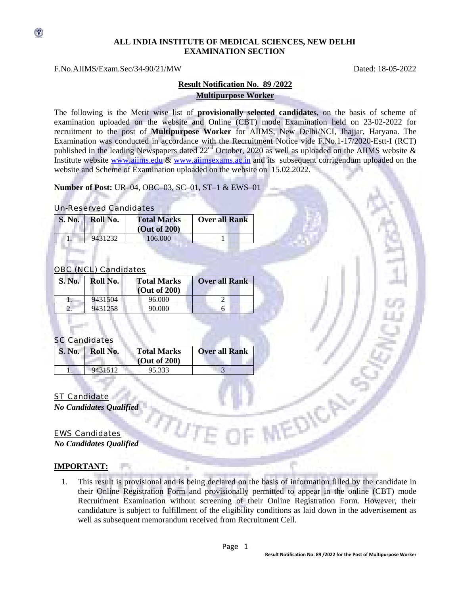### **ALL INDIA INSTITUTE OF MEDICAL SCIENCES, NEW DELHI EXAMINATION SECTION**

#### F.No.AIIMS/Exam.Sec/34-90/21/MW Dated: 18-05-2022

 $\circledast$ 

## **Result Notification No. 89 /2022 Multipurpose Worker**

The following is the Merit wise list of **provisionally selected candidates**, on the basis of scheme of examination uploaded on the website and Online (CBT) mode Examination held on 23-02-2022 for recruitment to the post of **Multipurpose Worker** for AIIMS, New Delhi/NCI, Jhajjar, Haryana. The Examination was conducted in accordance with the Recruitment Notice vide F.No.1-17/2020-Estt-I (RCT) published in the leading Newspapers dated  $22<sup>nd</sup>$  October, 2020 as well as uploaded on the AIIMS website  $\&$ Institute website www.aiims.edu & www.aiimsexams.ac.in and its subsequent corrigendum uploaded on the website and Scheme of Examination uploaded on the website on 15.02.2022.

**Number of Post:** UR–04, OBC–03, SC–01, ST–1 & EWS–01

#### Un-Reserved Candidates

| S. No. Roll No. | <b>Total Marks</b><br>(Out of 200) | <b>Over all Rank</b> |
|-----------------|------------------------------------|----------------------|
| 9431232         | 106.000                            |                      |

# OBC (NCL) Candidates

| S. No. | Roll No. | <b>Total Marks</b><br>(Out of $200$ ) | <b>Over all Rank</b> |
|--------|----------|---------------------------------------|----------------------|
|        | 9431504  | 96.000                                |                      |
|        | 9431258  | 90.000                                |                      |

## SC Candidates

| $S. No. \ \vdash$ | Roll No. | <b>Total Marks</b><br>$\sim$ (Out of 200) | <b>Over all Rank</b> |
|-------------------|----------|-------------------------------------------|----------------------|
|                   | 9431512  | 95.333                                    |                      |

## ST Candidate

*No Candidates Qualified* 

# EWS Candidates

*No Candidates Qualified* 

### **IMPORTANT:**

1. This result is provisional and is being declared on the basis of information filled by the candidate in their Online Registration Form and provisionally permitted to appear in the online (CBT) mode Recruitment Examination without screening of their Online Registration Form. However, their candidature is subject to fulfillment of the eligibility conditions as laid down in the advertisement as well as subsequent memorandum received from Recruitment Cell.

**REDIC**